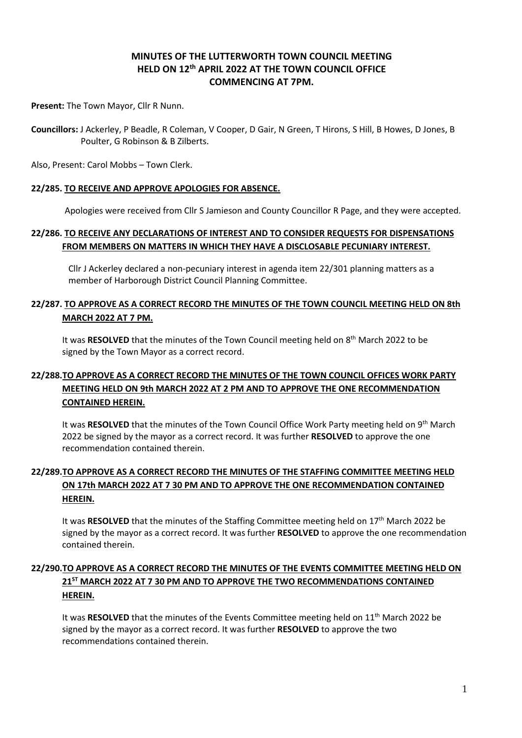# **MINUTES OF THE LUTTERWORTH TOWN COUNCIL MEETING HELD ON 12th APRIL 2022 AT THE TOWN COUNCIL OFFICE COMMENCING AT 7PM.**

**Present:** The Town Mayor, Cllr R Nunn.

**Councillors:** J Ackerley, P Beadle, R Coleman, V Cooper, D Gair, N Green, T Hirons, S Hill, B Howes, D Jones, B Poulter, G Robinson & B Zilberts.

Also, Present: Carol Mobbs – Town Clerk.

#### **22/285. TO RECEIVE AND APPROVE APOLOGIES FOR ABSENCE.**

Apologies were received from Cllr S Jamieson and County Councillor R Page, and they were accepted.

## **22/286. TO RECEIVE ANY DECLARATIONS OF INTEREST AND TO CONSIDER REQUESTS FOR DISPENSATIONS FROM MEMBERS ON MATTERS IN WHICH THEY HAVE A DISCLOSABLE PECUNIARY INTEREST.**

Cllr J Ackerley declared a non-pecuniary interest in agenda item 22/301 planning matters as a member of Harborough District Council Planning Committee.

### **22/287. TO APPROVE AS A CORRECT RECORD THE MINUTES OF THE TOWN COUNCIL MEETING HELD ON 8th MARCH 2022 AT 7 PM.**

It was RESOLVED that the minutes of the Town Council meeting held on 8<sup>th</sup> March 2022 to be signed by the Town Mayor as a correct record.

# **22/288.TO APPROVE AS A CORRECT RECORD THE MINUTES OF THE TOWN COUNCIL OFFICES WORK PARTY MEETING HELD ON 9th MARCH 2022 AT 2 PM AND TO APPROVE THE ONE RECOMMENDATION CONTAINED HEREIN.**

It was RESOLVED that the minutes of the Town Council Office Work Party meeting held on 9<sup>th</sup> March 2022 be signed by the mayor as a correct record. It was further **RESOLVED** to approve the one recommendation contained therein.

# **22/289.TO APPROVE AS A CORRECT RECORD THE MINUTES OF THE STAFFING COMMITTEE MEETING HELD ON 17th MARCH 2022 AT 7 30 PM AND TO APPROVE THE ONE RECOMMENDATION CONTAINED HEREIN.**

It was RESOLVED that the minutes of the Staffing Committee meeting held on 17<sup>th</sup> March 2022 be signed by the mayor as a correct record. It was further **RESOLVED** to approve the one recommendation contained therein.

# **22/290.TO APPROVE AS A CORRECT RECORD THE MINUTES OF THE EVENTS COMMITTEE MEETING HELD ON 21ST MARCH 2022 AT 7 30 PM AND TO APPROVE THE TWO RECOMMENDATIONS CONTAINED HEREIN.**

It was RESOLVED that the minutes of the Events Committee meeting held on 11<sup>th</sup> March 2022 be signed by the mayor as a correct record. It was further **RESOLVED** to approve the two recommendations contained therein.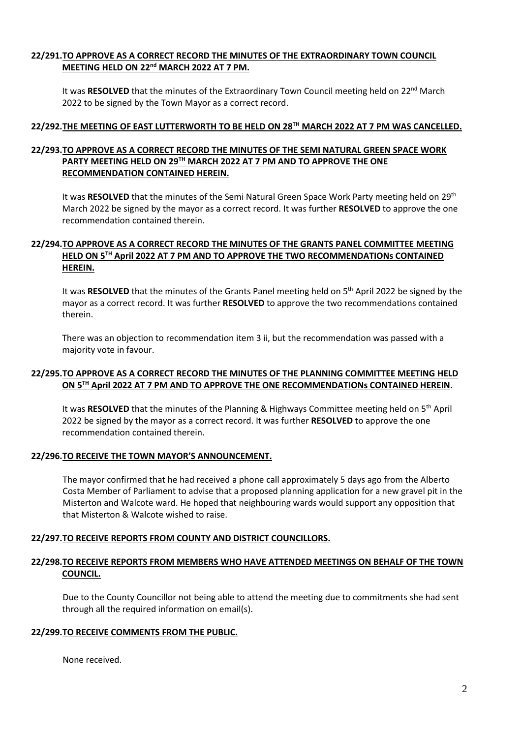### **22/291.TO APPROVE AS A CORRECT RECORD THE MINUTES OF THE EXTRAORDINARY TOWN COUNCIL MEETING HELD ON 22nd MARCH 2022 AT 7 PM.**

It was RESOLVED that the minutes of the Extraordinary Town Council meeting held on 22<sup>nd</sup> March 2022 to be signed by the Town Mayor as a correct record.

#### **22/292.THE MEETING OF EAST LUTTERWORTH TO BE HELD ON 28 TH MARCH 2022 AT 7 PM WAS CANCELLED.**

### **22/293.TO APPROVE AS A CORRECT RECORD THE MINUTES OF THE SEMI NATURAL GREEN SPACE WORK PARTY MEETING HELD ON 29TH MARCH 2022 AT 7 PM AND TO APPROVE THE ONE RECOMMENDATION CONTAINED HEREIN.**

It was RESOLVED that the minutes of the Semi Natural Green Space Work Party meeting held on 29<sup>th</sup> March 2022 be signed by the mayor as a correct record. It was further **RESOLVED** to approve the one recommendation contained therein.

### **22/294.TO APPROVE AS A CORRECT RECORD THE MINUTES OF THE GRANTS PANEL COMMITTEE MEETING HELD ON 5 TH April 2022 AT 7 PM AND TO APPROVE THE TWO RECOMMENDATIONs CONTAINED HEREIN.**

It was RESOLVED that the minutes of the Grants Panel meeting held on 5<sup>th</sup> April 2022 be signed by the mayor as a correct record. It was further **RESOLVED** to approve the two recommendations contained therein.

There was an objection to recommendation item 3 ii, but the recommendation was passed with a majority vote in favour.

#### **22/295.TO APPROVE AS A CORRECT RECORD THE MINUTES OF THE PLANNING COMMITTEE MEETING HELD ON 5 TH April 2022 AT 7 PM AND TO APPROVE THE ONE RECOMMENDATIONs CONTAINED HEREIN**.

It was RESOLVED that the minutes of the Planning & Highways Committee meeting held on 5<sup>th</sup> April 2022 be signed by the mayor as a correct record. It was further **RESOLVED** to approve the one recommendation contained therein.

#### **22/296.TO RECEIVE THE TOWN MAYOR'S ANNOUNCEMENT.**

The mayor confirmed that he had received a phone call approximately 5 days ago from the Alberto Costa Member of Parliament to advise that a proposed planning application for a new gravel pit in the Misterton and Walcote ward. He hoped that neighbouring wards would support any opposition that that Misterton & Walcote wished to raise.

#### **22/297.TO RECEIVE REPORTS FROM COUNTY AND DISTRICT COUNCILLORS.**

### **22/298.TO RECEIVE REPORTS FROM MEMBERS WHO HAVE ATTENDED MEETINGS ON BEHALF OF THE TOWN COUNCIL.**

Due to the County Councillor not being able to attend the meeting due to commitments she had sent through all the required information on email(s).

#### **22/299.TO RECEIVE COMMENTS FROM THE PUBLIC.**

None received.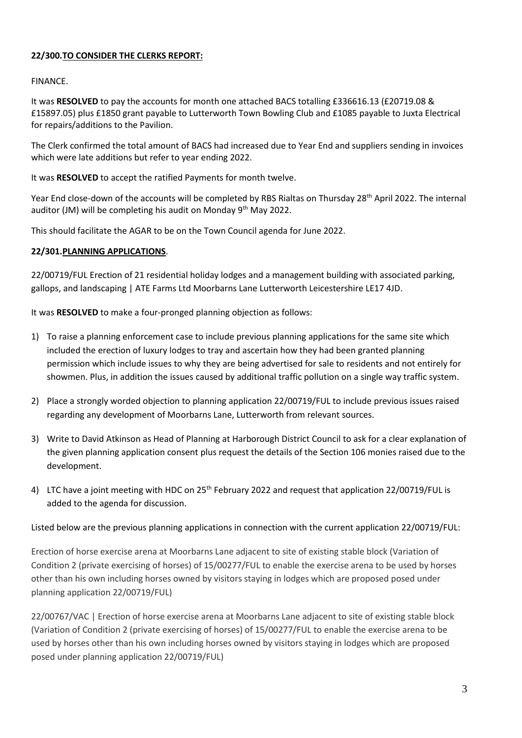## **22/300.TO CONSIDER THE CLERKS REPORT:**

### FINANCE.

It was **RESOLVED** to pay the accounts for month one attached BACS totalling £336616.13 (£20719.08 & £15897.05) plus £1850 grant payable to Lutterworth Town Bowling Club and £1085 payable to Juxta Electrical for repairs/additions to the Pavilion.

The Clerk confirmed the total amount of BACS had increased due to Year End and suppliers sending in invoices which were late additions but refer to year ending 2022.

It was **RESOLVED** to accept the ratified Payments for month twelve.

Year End close-down of the accounts will be completed by RBS Rialtas on Thursday 28<sup>th</sup> April 2022. The internal auditor (JM) will be completing his audit on Monday  $9<sup>th</sup>$  May 2022.

This should facilitate the AGAR to be on the Town Council agenda for June 2022.

#### **22/301.PLANNING APPLICATIONS**.

22/00719/FUL Erection of 21 residential holiday lodges and a management building with associated parking, gallops, and landscaping | ATE Farms Ltd Moorbarns Lane Lutterworth Leicestershire LE17 4JD.

It was **RESOLVED** to make a four-pronged planning objection as follows:

- 1) To raise a planning enforcement case to include previous planning applications for the same site which included the erection of luxury lodges to tray and ascertain how they had been granted planning permission which include issues to why they are being advertised for sale to residents and not entirely for showmen. Plus, in addition the issues caused by additional traffic pollution on a single way traffic system.
- 2) Place a strongly worded objection to planning application 22/00719/FUL to include previous issues raised regarding any development of Moorbarns Lane, Lutterworth from relevant sources.
- 3) Write to David Atkinson as Head of Planning at Harborough District Council to ask for a clear explanation of the given planning application consent plus request the details of the Section 106 monies raised due to the development.
- 4) LTC have a joint meeting with HDC on 25<sup>th</sup> February 2022 and request that application 22/00719/FUL is added to the agenda for discussion.

#### Listed below are the previous planning applications in connection with the current application 22/00719/FUL:

Erection of horse exercise arena at Moorbarns Lane adjacent to site of existing stable block (Variation of Condition 2 (private exercising of horses) of 15/00277/FUL to enable the exercise arena to be used by horses other than his own including horses owned by visitors staying in lodges which are proposed posed under planning application 22/00719/FUL)

22/00767/VAC | Erection of horse exercise arena at Moorbarns Lane adjacent to site of existing stable block (Variation of Condition 2 (private exercising of horses) of 15/00277/FUL to enable the exercise arena to be used by horses other than his own including horses owned by visitors staying in lodges which are proposed posed under planning application 22/00719/FUL)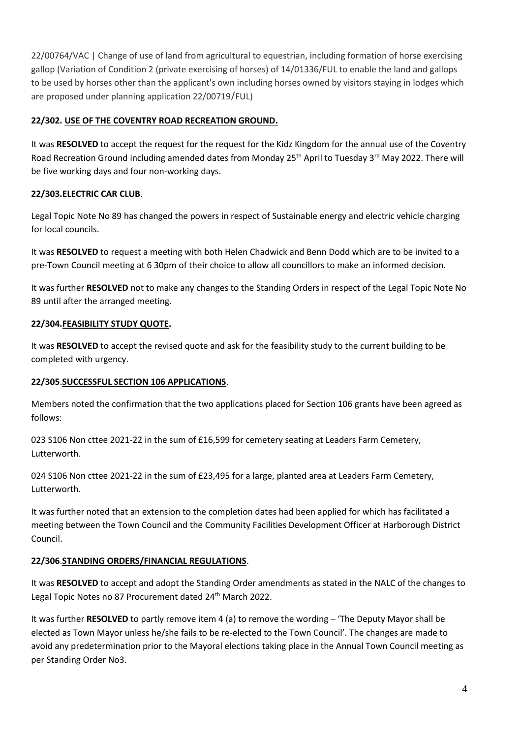22/00764/VAC | Change of use of land from agricultural to equestrian, including formation of horse exercising gallop (Variation of Condition 2 (private exercising of horses) of 14/01336/FUL to enable the land and gallops to be used by horses other than the applicant's own including horses owned by visitors staying in lodges which are proposed under planning application 22/00719/FUL)

### **22/302. USE OF THE COVENTRY ROAD RECREATION GROUND.**

It was **RESOLVED** to accept the request for the request for the Kidz Kingdom for the annual use of the Coventry Road Recreation Ground including amended dates from Monday 25<sup>th</sup> April to Tuesday 3<sup>rd</sup> May 2022. There will be five working days and four non-working days.

# **22/303.ELECTRIC CAR CLUB**.

Legal Topic Note No 89 has changed the powers in respect of Sustainable energy and electric vehicle charging for local councils.

It was **RESOLVED** to request a meeting with both Helen Chadwick and Benn Dodd which are to be invited to a pre-Town Council meeting at 6 30pm of their choice to allow all councillors to make an informed decision.

It was further **RESOLVED** not to make any changes to the Standing Orders in respect of the Legal Topic Note No 89 until after the arranged meeting.

# **22/304.FEASIBILITY STUDY QUOTE.**

It was **RESOLVED** to accept the revised quote and ask for the feasibility study to the current building to be completed with urgency.

# **22/305**.**SUCCESSFUL SECTION 106 APPLICATIONS**.

Members noted the confirmation that the two applications placed for Section 106 grants have been agreed as follows:

023 S106 Non cttee 2021-22 in the sum of £16,599 for cemetery seating at Leaders Farm Cemetery, Lutterworth.

024 S106 Non cttee 2021-22 in the sum of £23,495 for a large, planted area at Leaders Farm Cemetery, Lutterworth.

It was further noted that an extension to the completion dates had been applied for which has facilitated a meeting between the Town Council and the Community Facilities Development Officer at Harborough District Council.

# **22/306**.**STANDING ORDERS/FINANCIAL REGULATIONS**.

It was **RESOLVED** to accept and adopt the Standing Order amendments as stated in the NALC of the changes to Legal Topic Notes no 87 Procurement dated 24<sup>th</sup> March 2022.

It was further **RESOLVED** to partly remove item 4 (a) to remove the wording – 'The Deputy Mayor shall be elected as Town Mayor unless he/she fails to be re-elected to the Town Council'. The changes are made to avoid any predetermination prior to the Mayoral elections taking place in the Annual Town Council meeting as per Standing Order No3.